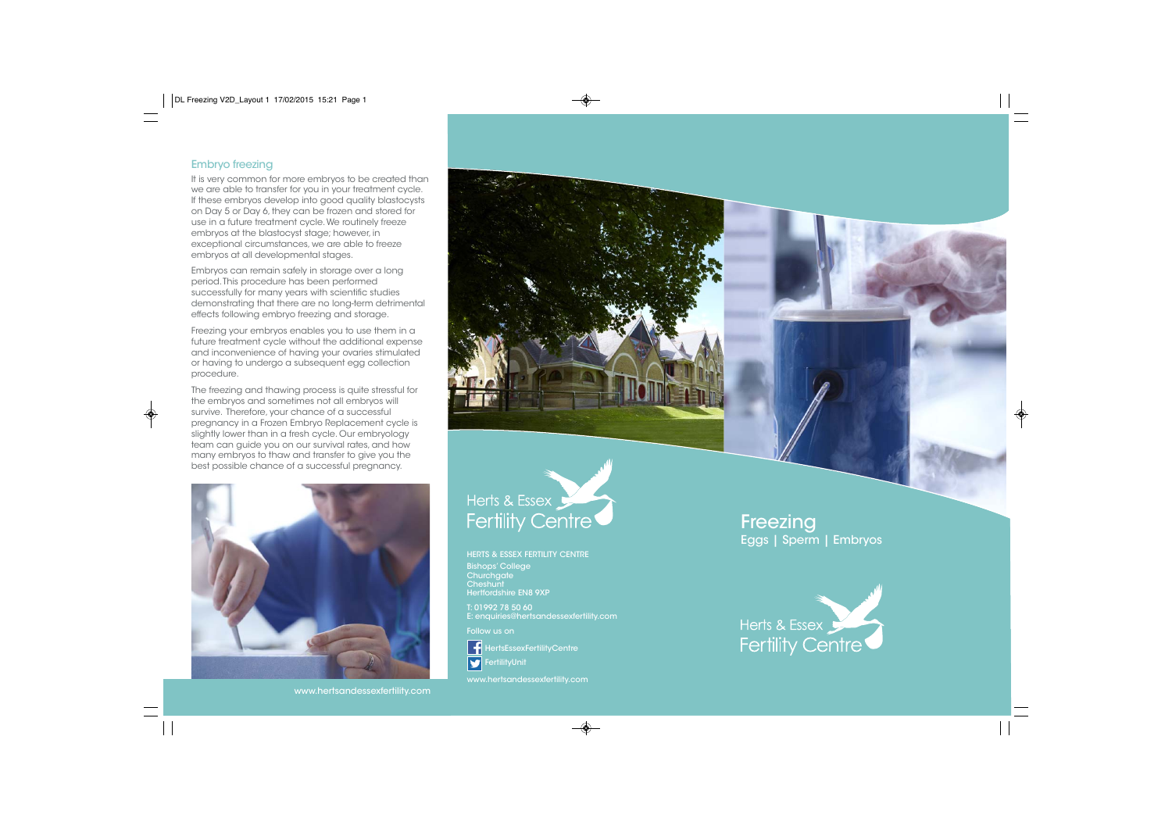### Embryo freezing

It is very common for more embryos to be created than we are able to transfer for you in your treatment cycle. If these embryos develop into good quality blastocysts on Day 5 or Day 6, they can be frozen and stored for use in a future treatment cycle. We routinely freeze embryos at the blastocyst stage; however, in exceptional circumstances, we are able to freeze embryos at all developmental stages.

Embryos can remain safely in storage over a long period. This procedure has been performed successfully for many years with scientific studies demonstrating that there are no long-term detrimental effects following embryo freezing and storage.

Freezing your embryos enables you to use them in a future treatment cycle without the additional expense and inconvenience of having your ovaries stimulated or having to undergo a subsequent egg collection procedure.

The freezing and thawing process is quite stressful for the embryos and sometimes not all embryos will survive. Therefore, your chance of a successful pregnancy in a Frozen Embryo Replacement cycle is slightly lower than in a fresh cycle. Our embryology team can guide you on our survival rates, and how many embryos to thaw and transfer to give you the best possible chance of a successful pregnancy.



www.hertsandessexfertility.com

# Herts & Essex Fertility Centre

#### HERTS & ESSEX FERTILITY CENTRE

Bishops' College **Churchgate Cheshunt** Hertfordshire EN8 9XP

T: 01992 78 50 60 E: enquiries@hertsandessexfertility.com

Follow us on

HertsEssexFertilityCentre y **FertilityUnit** 

www.hertsandessexfertility.com

# **Freezing** Eggs | Sperm | Embryos